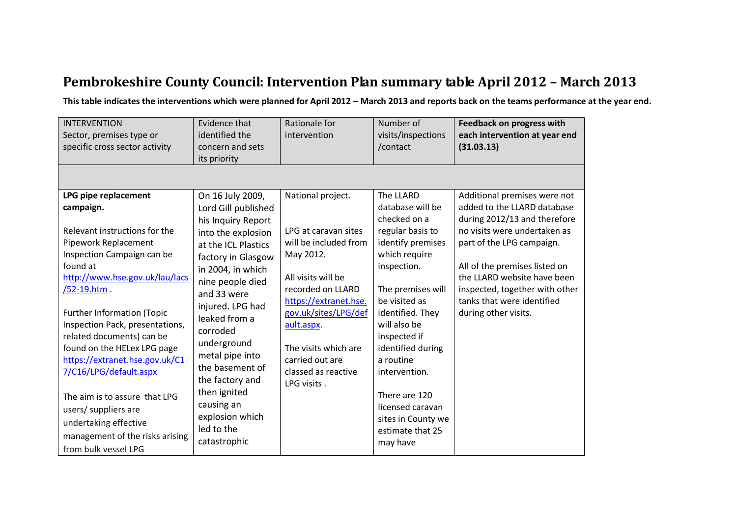## **Pembrokeshire County Council: Intervention Plan summary table April 2012 – March 2013**

**This table indicates the interventions which were planned for April 2012 – March 2013 and reports back on the teams performance at the year end.** 

| <b>INTERVENTION</b><br>Sector, premises type or<br>specific cross sector activity                                                                                                                                                                                                                                                                                                                                                                                                                                                 | Evidence that<br>identified the<br>concern and sets<br>its priority                                                                                                                                                                                                                                                                                                                              | Rationale for<br>intervention                                                                                                                                                                                                                                              | Number of<br>visits/inspections<br>/contact                                                                                                                                                                                                                                                                                                                    | <b>Feedback on progress with</b><br>each intervention at year end<br>(31.03.13)                                                                                                                                                                                                                                  |
|-----------------------------------------------------------------------------------------------------------------------------------------------------------------------------------------------------------------------------------------------------------------------------------------------------------------------------------------------------------------------------------------------------------------------------------------------------------------------------------------------------------------------------------|--------------------------------------------------------------------------------------------------------------------------------------------------------------------------------------------------------------------------------------------------------------------------------------------------------------------------------------------------------------------------------------------------|----------------------------------------------------------------------------------------------------------------------------------------------------------------------------------------------------------------------------------------------------------------------------|----------------------------------------------------------------------------------------------------------------------------------------------------------------------------------------------------------------------------------------------------------------------------------------------------------------------------------------------------------------|------------------------------------------------------------------------------------------------------------------------------------------------------------------------------------------------------------------------------------------------------------------------------------------------------------------|
| LPG pipe replacement<br>campaign.<br>Relevant instructions for the<br>Pipework Replacement<br>Inspection Campaign can be<br>found at<br>http://www.hse.gov.uk/lau/lacs<br>/52-19.htm<br><b>Further Information (Topic</b><br>Inspection Pack, presentations,<br>related documents) can be<br>found on the HELex LPG page<br>https://extranet.hse.gov.uk/C1<br>7/C16/LPG/default.aspx<br>The aim is to assure that LPG<br>users/ suppliers are<br>undertaking effective<br>management of the risks arising<br>from bulk vessel LPG | On 16 July 2009,<br>Lord Gill published<br>his Inquiry Report<br>into the explosion<br>at the ICL Plastics<br>factory in Glasgow<br>in 2004, in which<br>nine people died<br>and 33 were<br>injured. LPG had<br>leaked from a<br>corroded<br>underground<br>metal pipe into<br>the basement of<br>the factory and<br>then ignited<br>causing an<br>explosion which<br>led to the<br>catastrophic | National project.<br>LPG at caravan sites<br>will be included from<br>May 2012.<br>All visits will be<br>recorded on LLARD<br>https://extranet.hse.<br>gov.uk/sites/LPG/def<br>ault.aspx.<br>The visits which are<br>carried out are<br>classed as reactive<br>LPG visits. | The LLARD<br>database will be<br>checked on a<br>regular basis to<br>identify premises<br>which require<br>inspection.<br>The premises will<br>be visited as<br>identified. They<br>will also be<br>inspected if<br>identified during<br>a routine<br>intervention.<br>There are 120<br>licensed caravan<br>sites in County we<br>estimate that 25<br>may have | Additional premises were not<br>added to the LLARD database<br>during 2012/13 and therefore<br>no visits were undertaken as<br>part of the LPG campaign.<br>All of the premises listed on<br>the LLARD website have been<br>inspected, together with other<br>tanks that were identified<br>during other visits. |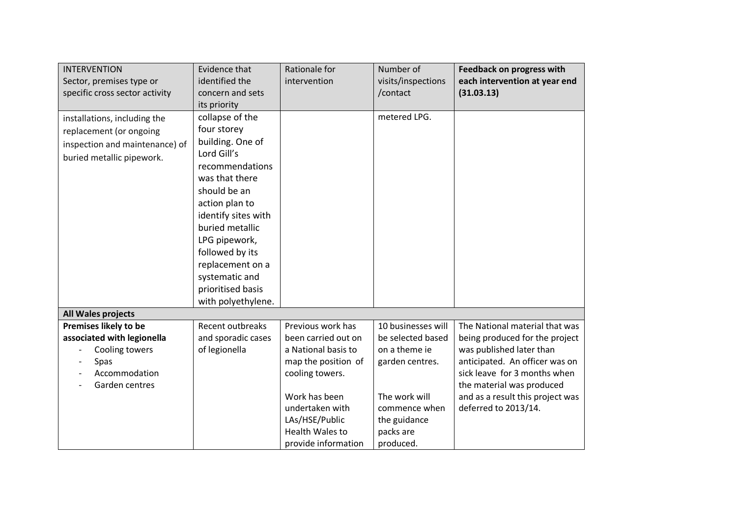| <b>INTERVENTION</b>                                                                                                    | Evidence that                                                                                                                                                                                                                                                | Rationale for                                                                                                                                                                                                    | Number of                                                                                                                                               | <b>Feedback on progress with</b>                                                                                                                                                                                                                        |
|------------------------------------------------------------------------------------------------------------------------|--------------------------------------------------------------------------------------------------------------------------------------------------------------------------------------------------------------------------------------------------------------|------------------------------------------------------------------------------------------------------------------------------------------------------------------------------------------------------------------|---------------------------------------------------------------------------------------------------------------------------------------------------------|---------------------------------------------------------------------------------------------------------------------------------------------------------------------------------------------------------------------------------------------------------|
| Sector, premises type or                                                                                               | identified the                                                                                                                                                                                                                                               | intervention                                                                                                                                                                                                     | visits/inspections                                                                                                                                      | each intervention at year end                                                                                                                                                                                                                           |
| specific cross sector activity                                                                                         | concern and sets                                                                                                                                                                                                                                             |                                                                                                                                                                                                                  | /contact                                                                                                                                                | (31.03.13)                                                                                                                                                                                                                                              |
|                                                                                                                        | its priority                                                                                                                                                                                                                                                 |                                                                                                                                                                                                                  |                                                                                                                                                         |                                                                                                                                                                                                                                                         |
| installations, including the<br>replacement (or ongoing<br>inspection and maintenance) of<br>buried metallic pipework. | collapse of the<br>four storey<br>building. One of<br>Lord Gill's<br>recommendations<br>was that there<br>should be an<br>action plan to<br>identify sites with<br>buried metallic<br>LPG pipework,<br>followed by its<br>replacement on a<br>systematic and |                                                                                                                                                                                                                  | metered LPG.                                                                                                                                            |                                                                                                                                                                                                                                                         |
|                                                                                                                        | prioritised basis<br>with polyethylene.                                                                                                                                                                                                                      |                                                                                                                                                                                                                  |                                                                                                                                                         |                                                                                                                                                                                                                                                         |
| All Wales projects                                                                                                     |                                                                                                                                                                                                                                                              |                                                                                                                                                                                                                  |                                                                                                                                                         |                                                                                                                                                                                                                                                         |
| Premises likely to be<br>associated with legionella<br>Cooling towers<br>Spas<br>Accommodation<br>Garden centres       | Recent outbreaks<br>and sporadic cases<br>of legionella                                                                                                                                                                                                      | Previous work has<br>been carried out on<br>a National basis to<br>map the position of<br>cooling towers.<br>Work has been<br>undertaken with<br>LAs/HSE/Public<br><b>Health Wales to</b><br>provide information | 10 businesses will<br>be selected based<br>on a theme ie<br>garden centres.<br>The work will<br>commence when<br>the guidance<br>packs are<br>produced. | The National material that was<br>being produced for the project<br>was published later than<br>anticipated. An officer was on<br>sick leave for 3 months when<br>the material was produced<br>and as a result this project was<br>deferred to 2013/14. |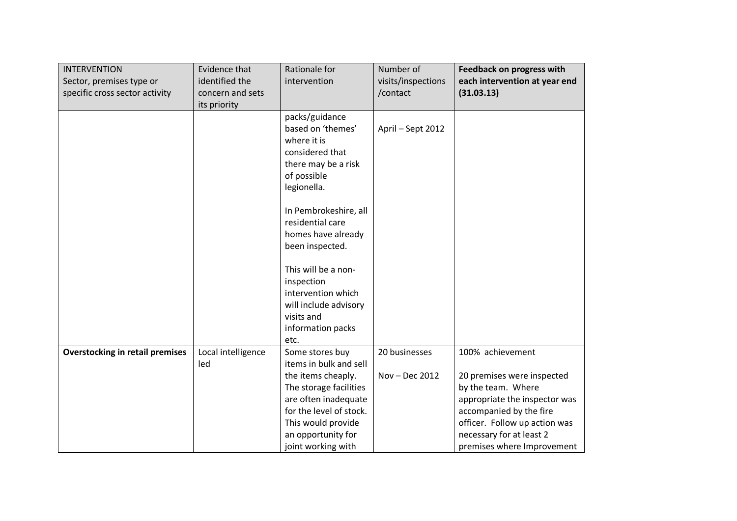| <b>INTERVENTION</b><br>Sector, premises type or<br>specific cross sector activity | Evidence that<br>identified the<br>concern and sets<br>its priority | Rationale for<br>intervention                                                                                                                                                                                          | Number of<br>visits/inspections<br>/contact | <b>Feedback on progress with</b><br>each intervention at year end<br>(31.03.13)                                                                                                                                             |
|-----------------------------------------------------------------------------------|---------------------------------------------------------------------|------------------------------------------------------------------------------------------------------------------------------------------------------------------------------------------------------------------------|---------------------------------------------|-----------------------------------------------------------------------------------------------------------------------------------------------------------------------------------------------------------------------------|
|                                                                                   |                                                                     | packs/guidance<br>based on 'themes'<br>where it is<br>considered that<br>there may be a risk<br>of possible<br>legionella.                                                                                             | April - Sept 2012                           |                                                                                                                                                                                                                             |
|                                                                                   |                                                                     | In Pembrokeshire, all<br>residential care<br>homes have already<br>been inspected.                                                                                                                                     |                                             |                                                                                                                                                                                                                             |
|                                                                                   |                                                                     | This will be a non-<br>inspection<br>intervention which<br>will include advisory<br>visits and<br>information packs                                                                                                    |                                             |                                                                                                                                                                                                                             |
| <b>Overstocking in retail premises</b>                                            | Local intelligence<br>led                                           | etc.<br>Some stores buy<br>items in bulk and sell<br>the items cheaply.<br>The storage facilities<br>are often inadequate<br>for the level of stock.<br>This would provide<br>an opportunity for<br>joint working with | 20 businesses<br>Nov - Dec 2012             | 100% achievement<br>20 premises were inspected<br>by the team. Where<br>appropriate the inspector was<br>accompanied by the fire<br>officer. Follow up action was<br>necessary for at least 2<br>premises where Improvement |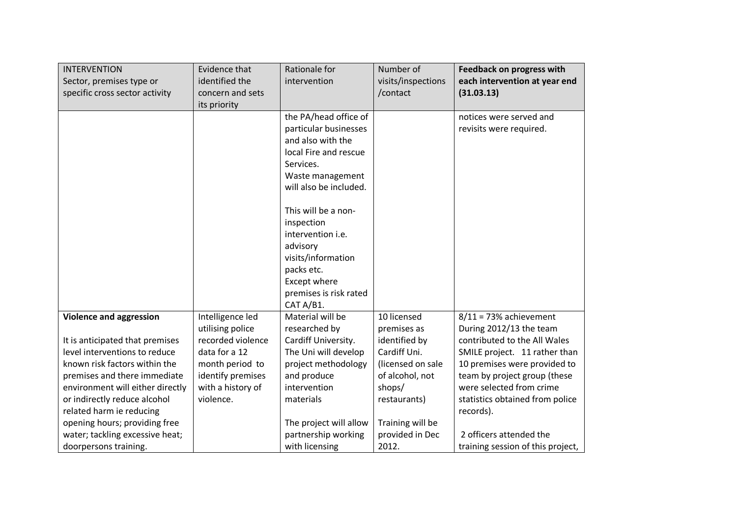| <b>INTERVENTION</b><br>Sector, premises type or<br>specific cross sector activity | Evidence that<br>identified the<br>concern and sets | Rationale for<br>intervention | Number of<br>visits/inspections<br>/contact | <b>Feedback on progress with</b><br>each intervention at year end<br>(31.03.13) |
|-----------------------------------------------------------------------------------|-----------------------------------------------------|-------------------------------|---------------------------------------------|---------------------------------------------------------------------------------|
|                                                                                   | its priority                                        | the PA/head office of         |                                             | notices were served and                                                         |
|                                                                                   |                                                     | particular businesses         |                                             | revisits were required.                                                         |
|                                                                                   |                                                     | and also with the             |                                             |                                                                                 |
|                                                                                   |                                                     | local Fire and rescue         |                                             |                                                                                 |
|                                                                                   |                                                     | Services.                     |                                             |                                                                                 |
|                                                                                   |                                                     | Waste management              |                                             |                                                                                 |
|                                                                                   |                                                     | will also be included.        |                                             |                                                                                 |
|                                                                                   |                                                     | This will be a non-           |                                             |                                                                                 |
|                                                                                   |                                                     | inspection                    |                                             |                                                                                 |
|                                                                                   |                                                     | intervention i.e.             |                                             |                                                                                 |
|                                                                                   |                                                     | advisory                      |                                             |                                                                                 |
|                                                                                   |                                                     | visits/information            |                                             |                                                                                 |
|                                                                                   |                                                     | packs etc.                    |                                             |                                                                                 |
|                                                                                   |                                                     | Except where                  |                                             |                                                                                 |
|                                                                                   |                                                     | premises is risk rated        |                                             |                                                                                 |
|                                                                                   |                                                     | CAT A/B1.                     |                                             |                                                                                 |
| <b>Violence and aggression</b>                                                    | Intelligence led                                    | Material will be              | 10 licensed                                 | $8/11 = 73%$ achievement                                                        |
|                                                                                   | utilising police                                    | researched by                 | premises as                                 | During 2012/13 the team                                                         |
| It is anticipated that premises                                                   | recorded violence                                   | Cardiff University.           | identified by                               | contributed to the All Wales                                                    |
| level interventions to reduce                                                     | data for a 12                                       | The Uni will develop          | Cardiff Uni.                                | SMILE project. 11 rather than                                                   |
| known risk factors within the                                                     | month period to                                     | project methodology           | (licensed on sale                           | 10 premises were provided to                                                    |
| premises and there immediate                                                      | identify premises                                   | and produce                   | of alcohol, not                             | team by project group (these                                                    |
| environment will either directly                                                  | with a history of                                   | intervention                  | shops/                                      | were selected from crime                                                        |
| or indirectly reduce alcohol                                                      | violence.                                           | materials                     | restaurants)                                | statistics obtained from police                                                 |
| related harm ie reducing                                                          |                                                     |                               |                                             | records).                                                                       |
| opening hours; providing free                                                     |                                                     | The project will allow        | Training will be                            |                                                                                 |
| water; tackling excessive heat;                                                   |                                                     | partnership working           | provided in Dec                             | 2 officers attended the                                                         |
| doorpersons training.                                                             |                                                     | with licensing                | 2012.                                       | training session of this project,                                               |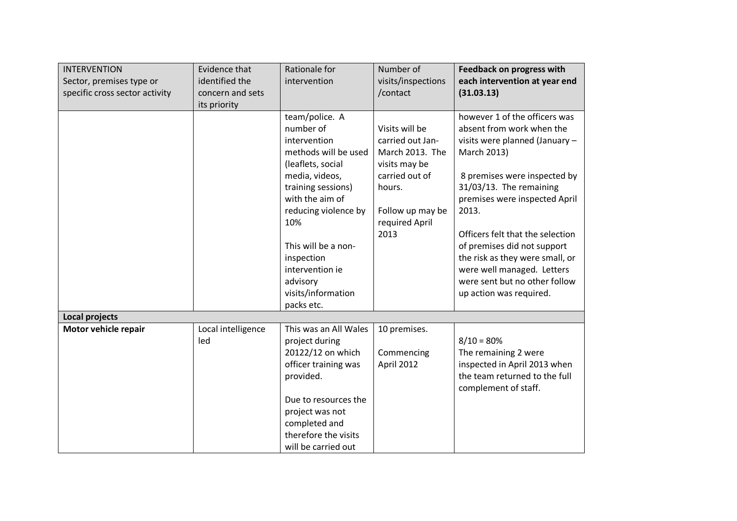| <b>INTERVENTION</b><br>Sector, premises type or<br>specific cross sector activity | Evidence that<br>identified the<br>concern and sets<br>its priority | Rationale for<br>intervention                                                                                                                                                                                                                                                              | Number of<br>visits/inspections<br>/contact                                                                                                      | <b>Feedback on progress with</b><br>each intervention at year end<br>(31.03.13)                                                                                                                                                                                                                                                                                                                                  |
|-----------------------------------------------------------------------------------|---------------------------------------------------------------------|--------------------------------------------------------------------------------------------------------------------------------------------------------------------------------------------------------------------------------------------------------------------------------------------|--------------------------------------------------------------------------------------------------------------------------------------------------|------------------------------------------------------------------------------------------------------------------------------------------------------------------------------------------------------------------------------------------------------------------------------------------------------------------------------------------------------------------------------------------------------------------|
|                                                                                   |                                                                     | team/police. A<br>number of<br>intervention<br>methods will be used<br>(leaflets, social<br>media, videos,<br>training sessions)<br>with the aim of<br>reducing violence by<br>10%<br>This will be a non-<br>inspection<br>intervention ie<br>advisory<br>visits/information<br>packs etc. | Visits will be<br>carried out Jan-<br>March 2013. The<br>visits may be<br>carried out of<br>hours.<br>Follow up may be<br>required April<br>2013 | however 1 of the officers was<br>absent from work when the<br>visits were planned (January -<br>March 2013)<br>8 premises were inspected by<br>31/03/13. The remaining<br>premises were inspected April<br>2013.<br>Officers felt that the selection<br>of premises did not support<br>the risk as they were small, or<br>were well managed. Letters<br>were sent but no other follow<br>up action was required. |
| Local projects                                                                    |                                                                     |                                                                                                                                                                                                                                                                                            |                                                                                                                                                  |                                                                                                                                                                                                                                                                                                                                                                                                                  |
| Motor vehicle repair                                                              | Local intelligence<br>led                                           | This was an All Wales<br>project during<br>20122/12 on which<br>officer training was<br>provided.<br>Due to resources the<br>project was not<br>completed and<br>therefore the visits<br>will be carried out                                                                               | 10 premises.<br>Commencing<br>April 2012                                                                                                         | $8/10 = 80%$<br>The remaining 2 were<br>inspected in April 2013 when<br>the team returned to the full<br>complement of staff.                                                                                                                                                                                                                                                                                    |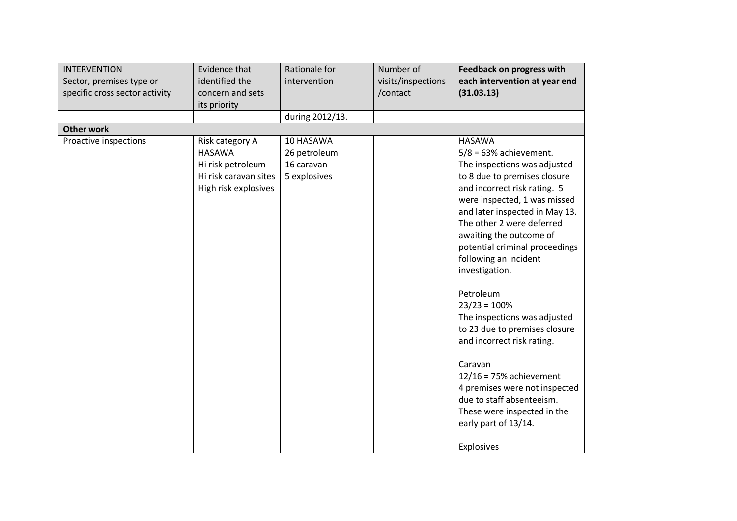| <b>INTERVENTION</b><br>Sector, premises type or<br>specific cross sector activity | Evidence that<br>identified the<br>concern and sets<br>its priority                                    | Rationale for<br>intervention                           | Number of<br>visits/inspections<br>/contact | <b>Feedback on progress with</b><br>each intervention at year end<br>(31.03.13)                                                                                                                                                                                                                                                                                                                                                                                                                                                                                                                                                                                  |
|-----------------------------------------------------------------------------------|--------------------------------------------------------------------------------------------------------|---------------------------------------------------------|---------------------------------------------|------------------------------------------------------------------------------------------------------------------------------------------------------------------------------------------------------------------------------------------------------------------------------------------------------------------------------------------------------------------------------------------------------------------------------------------------------------------------------------------------------------------------------------------------------------------------------------------------------------------------------------------------------------------|
|                                                                                   |                                                                                                        | during 2012/13.                                         |                                             |                                                                                                                                                                                                                                                                                                                                                                                                                                                                                                                                                                                                                                                                  |
| <b>Other work</b>                                                                 |                                                                                                        |                                                         |                                             |                                                                                                                                                                                                                                                                                                                                                                                                                                                                                                                                                                                                                                                                  |
| Proactive inspections                                                             | Risk category A<br><b>HASAWA</b><br>Hi risk petroleum<br>Hi risk caravan sites<br>High risk explosives | 10 HASAWA<br>26 petroleum<br>16 caravan<br>5 explosives |                                             | <b>HASAWA</b><br>$5/8$ = 63% achievement.<br>The inspections was adjusted<br>to 8 due to premises closure<br>and incorrect risk rating. 5<br>were inspected, 1 was missed<br>and later inspected in May 13.<br>The other 2 were deferred<br>awaiting the outcome of<br>potential criminal proceedings<br>following an incident<br>investigation.<br>Petroleum<br>$23/23 = 100%$<br>The inspections was adjusted<br>to 23 due to premises closure<br>and incorrect risk rating.<br>Caravan<br>$12/16 = 75%$ achievement<br>4 premises were not inspected<br>due to staff absenteeism.<br>These were inspected in the<br>early part of 13/14.<br><b>Explosives</b> |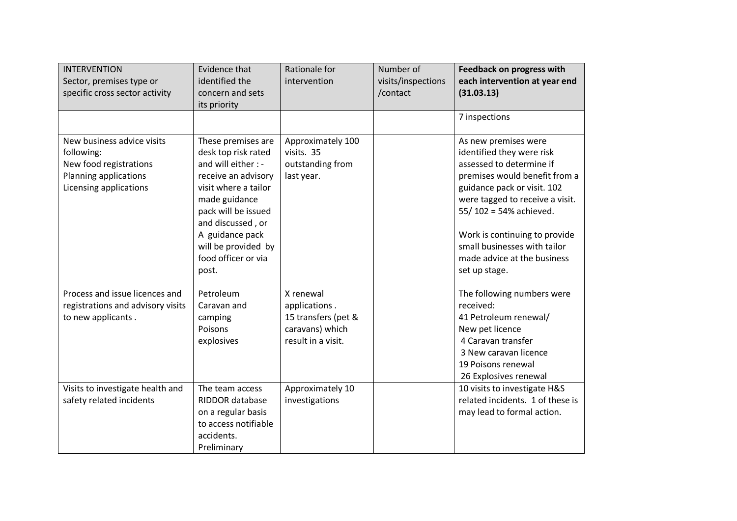| <b>INTERVENTION</b><br>Sector, premises type or<br>specific cross sector activity                                     | Evidence that<br>identified the<br>concern and sets<br>its priority                                                                                                                                                                                    | Rationale for<br>intervention                                                              | Number of<br>visits/inspections<br>/contact | <b>Feedback on progress with</b><br>each intervention at year end<br>(31.03.13)                                                                                                                                                                                                                                             |
|-----------------------------------------------------------------------------------------------------------------------|--------------------------------------------------------------------------------------------------------------------------------------------------------------------------------------------------------------------------------------------------------|--------------------------------------------------------------------------------------------|---------------------------------------------|-----------------------------------------------------------------------------------------------------------------------------------------------------------------------------------------------------------------------------------------------------------------------------------------------------------------------------|
|                                                                                                                       |                                                                                                                                                                                                                                                        |                                                                                            |                                             | 7 inspections                                                                                                                                                                                                                                                                                                               |
| New business advice visits<br>following:<br>New food registrations<br>Planning applications<br>Licensing applications | These premises are<br>desk top risk rated<br>and will either : -<br>receive an advisory<br>visit where a tailor<br>made guidance<br>pack will be issued<br>and discussed, or<br>A guidance pack<br>will be provided by<br>food officer or via<br>post. | Approximately 100<br>visits. 35<br>outstanding from<br>last year.                          |                                             | As new premises were<br>identified they were risk<br>assessed to determine if<br>premises would benefit from a<br>guidance pack or visit. 102<br>were tagged to receive a visit.<br>55/102 = 54% achieved.<br>Work is continuing to provide<br>small businesses with tailor<br>made advice at the business<br>set up stage. |
| Process and issue licences and<br>registrations and advisory visits<br>to new applicants.                             | Petroleum<br>Caravan and<br>camping<br>Poisons<br>explosives                                                                                                                                                                                           | X renewal<br>applications.<br>15 transfers (pet &<br>caravans) which<br>result in a visit. |                                             | The following numbers were<br>received:<br>41 Petroleum renewal/<br>New pet licence<br>4 Caravan transfer<br>3 New caravan licence<br>19 Poisons renewal<br>26 Explosives renewal                                                                                                                                           |
| Visits to investigate health and<br>safety related incidents                                                          | The team access<br>RIDDOR database<br>on a regular basis<br>to access notifiable<br>accidents.<br>Preliminary                                                                                                                                          | Approximately 10<br>investigations                                                         |                                             | 10 visits to investigate H&S<br>related incidents. 1 of these is<br>may lead to formal action.                                                                                                                                                                                                                              |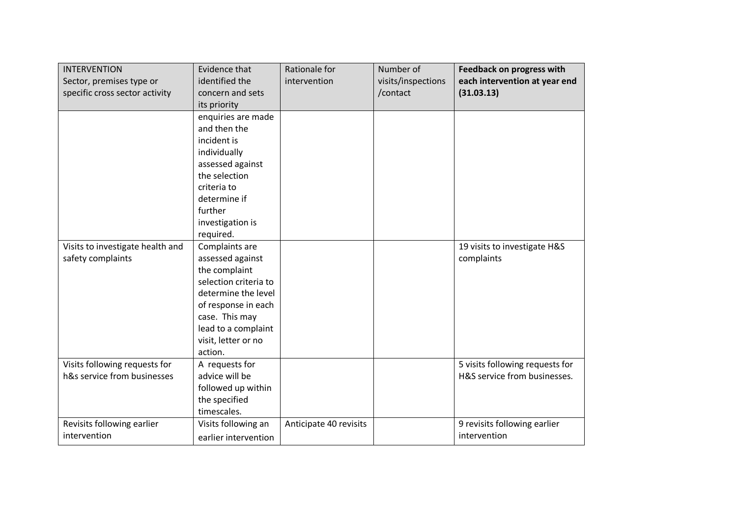| <b>INTERVENTION</b><br>Sector, premises type or<br>specific cross sector activity | Evidence that<br>identified the<br>concern and sets<br>its priority                                                                                                                                   | Rationale for<br>intervention | Number of<br>visits/inspections<br>/contact | <b>Feedback on progress with</b><br>each intervention at year end<br>(31.03.13) |
|-----------------------------------------------------------------------------------|-------------------------------------------------------------------------------------------------------------------------------------------------------------------------------------------------------|-------------------------------|---------------------------------------------|---------------------------------------------------------------------------------|
|                                                                                   | enquiries are made<br>and then the<br>incident is<br>individually<br>assessed against<br>the selection<br>criteria to<br>determine if<br>further<br>investigation is<br>required.                     |                               |                                             |                                                                                 |
| Visits to investigate health and<br>safety complaints                             | Complaints are<br>assessed against<br>the complaint<br>selection criteria to<br>determine the level<br>of response in each<br>case. This may<br>lead to a complaint<br>visit, letter or no<br>action. |                               |                                             | 19 visits to investigate H&S<br>complaints                                      |
| Visits following requests for<br>h&s service from businesses                      | A requests for<br>advice will be<br>followed up within<br>the specified<br>timescales.                                                                                                                |                               |                                             | 5 visits following requests for<br>H&S service from businesses.                 |
| Revisits following earlier<br>intervention                                        | Visits following an<br>earlier intervention                                                                                                                                                           | Anticipate 40 revisits        |                                             | 9 revisits following earlier<br>intervention                                    |